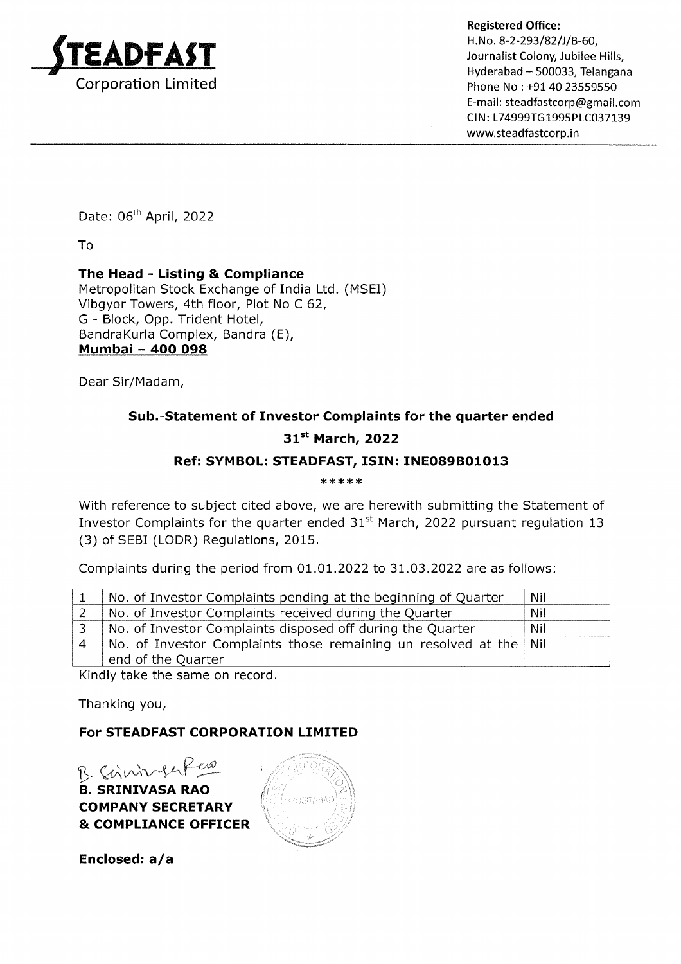

Hyderabad - 500033, Telangana Phone No : +91 40 23559550 E-mail : steadfastcorp@gmail.com CIN: L74999TG1995PLC037139 www.steadfastcorp.in

Date: 06<sup>th</sup> April, 2022

To

## The Head - Listing & Compliance

Metropolitan Stock Exchange of India Ltd. (MSEI) Vibgyor Towers, 4th floor, Plot No C 62, G - Block, Opp. Trident Hotel, BandraKurla Complex, Bandra (E), Mumbai - 4OO O98

Dear Sir/Madam,

# Sub.-Statement of Investor Complaints for the quarter ended

#### $31<sup>st</sup>$  March, 2022

#### Ref: SYMBOL: STEADFAST, ISIN: INEO89BO1O13

\*\*\*\*\*

With reference to subject cited above, we are herewith submitting the Statement of Investor Complaints for the quarter ended  $31<sup>st</sup>$  March, 2022 pursuant regulation 13 (3) of SEBI (LODR) Regulations, 2015.

Complaints during the period from  $01.01.2022$  to  $31.03.2022$  are as follows:

|                        | No. of Investor Complaints pending at the beginning of Quarter    | Nil        |
|------------------------|-------------------------------------------------------------------|------------|
|                        | No. of Investor Complaints received during the Quarter            | <b>Nil</b> |
|                        | No. of Investor Complaints disposed off during the Quarter        | Nil        |
| $\boldsymbol{\Lambda}$ | No. of Investor Complaints those remaining un resolved at the Nil |            |
|                        | end of the Quarter                                                |            |

Kindly take the same on record

Thanking you,

#### For STEADFAST CORPORATION LIMITED

B. SRINIVASA RAO COMPANY SECRETARY & COMPLIANCE OFFICER B. Scrinnfuker



Enclosed:  $a/a$